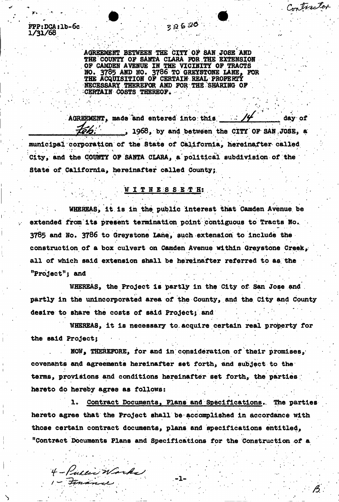$FPP: DCA:1b-6c$  326  $30<sup>o</sup>$ **1/31/68** 

> AGREEMENT BETWEEN THE CITY OF SAN JOSE AND THE COUNTY OF SANTA CLARA FOR THE EXTENSION OF CAMDEN AVENUE IN THE VICINITY OF TRACTS HO. 3785 AND NO. 3786 TO GREYSTONE LANE, FOR THE ACQUISITION OF CERTAIN REAL PROPERTY NECESSARY THEREFOR AND FOR THE SHARING OF CERTAIN COSTS THEREOF.

Contractor

AGREEMENT, made and entered into this  $\frac{1}{4}$  day of ..., 1968, by and between the CITY OF SAN JOSE, a municipal corporation of the State of California, hereinafter called City, and the C0M9TY OF SANTA CLARA, a political subdivision of the State of California, hereinafter called County;,

## ; % ; W I T N E S S E T H: .

WHEREAS, it is in the public interest that Camden Avenue be extended from its present termination point contiguous to Tracts No. 3785 and No. 3786 to Greystone Lane, such extension to Include the construction of a box culvert on Camden Avenue within Greystone Creek, all of which said extension shall be hereinafter referred to as the "Project"; and

1 Whereas, the Project is partly in the City of San Jose and The partly in the unincorporated area of the County, and the City and County desire to share the costs of said Project; and

WHEREAS, it is necessary to.acquire certain real property for the said Project;

NOW, THEREFORE, for and in consideration of their promises, covenants and agreements hereinafter set forth, and subject to the terms, provisions and conditions hereinafter set forth, the parties hereto do hereby agree as follows:

1. Contract Documents» Plans and Specifications., The parties hereto agree that the Project shall be accomplished in accordance with those certain contract documents, plans and specifications entitled, "Contract Documents Plans and Specifications for the Construction of a

4 - Public Works

1 - Finance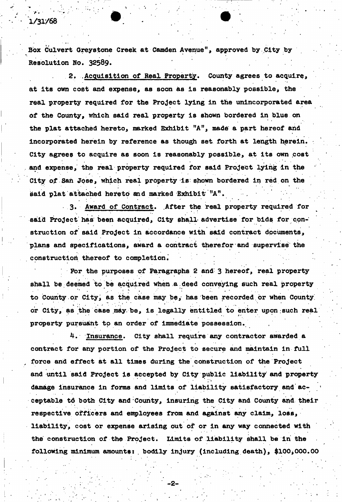# 1/31/68

Box Culvert Greystone Creek at *Camden* Avenue", approved by City by Resolution No. 32589•

2. .Acquisition of Real Property. County agrees to acquire, at its own cost and expense, as soon as is reasonably possible, the real property required for the Project lying in the unincorporated area of the County, which said real property is shown bordered in blue on the plat attached hereto, marked Exhibit "A", made a part hereof and incorporated herein by reference as though set forth at length herein. City agrees to acquire as soon is reasonably possible, at its own cost and expense, the real property required for said Project lying in the City of San Jose, which real property is shown bordered in red on the said plat attached hereto and marked Exhibit "A".

3. Award of Contract. After the real property required for said Project has been acquired, City shall advertise for bids for construction of said Project in accordance with said contract documents, plans and specifications, award a contract therefor and supervise the construction thereof to completion.

For the purposes of Paragraphs 2 and 3 hereof, real propertyshall be deemed to be acquired when a.deed conveying such real property  $\bullet$  . For interesting the set of the set of the set of the set of the set of the set of the set of the set of the set of the set of the set of the set of the set of the set of the set of the set of the set of the set of to County or City, as the case may be, has been recorded or when County or City, as the case may be, is legally entitled to enter upon; such real property pursuant to an order of immediate possession.

4. Insurance. City shall require any contractor awarded a contract for any portion of the Project to secure and maintain in full force and effect at all times during the construction of the Project and until said Project is accepted by City public liability and property damage insurance in forms and limits of liability satisfactory and acceptable td both City and County, Insuring the City and County and their respective officers and employees from and against any claim, loss, liability, cost or expense arising out of or in any way connected with the construction of the Project. Limits of liability shall be in the following minimum amounts: bodily injury (including death), \$100,000.00

-2-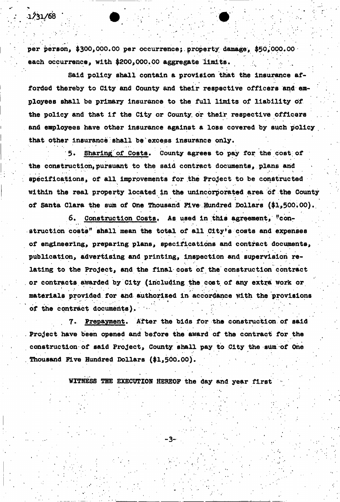per person, \$300,000.00 per occurrence; property damage, \$50,000.00 each occurrence, with \$200,000.00 aggregate limits.

• i 1990 – i 1990 – i 1990 – i 1990 – i 1990 – i 1990 – i 1990 – i 1990 – i 1990 – i 1990 – i 1990 – i 1990 – i

Said policy shall contain a provision that the insurance afforded thereby to City and County and their respective officers and employees shall be primary insurance to the full limits of liability of the policy and that if the City or County, or their respective officers and employees have other Insurance against a loss covered by such policy that other insurance shall be excess insurance only.

Sharing of Costs. County agrees to pay for the cost of the construction, pursuant to the said contract documents, plans and specifications, of all improvements for the Project to be constructed within the real property located in the unincorporated area of the County of Santa Clara the sum of One Thousand five Hundred Dollars (\$1,500.00).

6. Construction Costs. As used in this agreement, "construction costs" shall mean the total of all City's costs and expenses of engineering, preparing plans, specifications and contract documents, publication, advertising and printing, inspection and supervision relating to the Project, and the final cost of the construction contract or contracts awarded by City (including the cost of any extra work or materials provided for and authorized in accordance with the provisions of the contract documents).

Prepayment. After the bids for the construction of said Project have been opened and before the award of the contract for the construction of said Project, County shall pay to City the sum of One Thousand Five Hundred Dollars (\$1,500.00).

WITNESS THE EXECUTION HEREOF the day and year first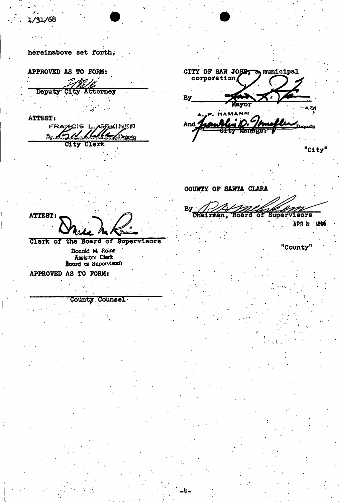hereinabove Bet forth.

**APPROVED AS TO FORM;** 

Deputy" City Attorney  $\mathbf{r}_\mathrm{c}$ 

**ATTEST:** 

FRAMCIS L. ABREINER 'Lile N M. **Dopus** Clerk CIty

CITY OF SAN JOSET og municipal corporation By Mayor  $2.208$ MANN And  $\prime$ كمصملا

**Llrffian, Board or Supervisors** 

"City"

Ipr 8 *\m*i

"County"

COUNTY OF SANTA CLARA

By Chairman,

**ATTEST:** 

**Clerk of the Board or supervisors** 

**Donald ML Rains Assistant Clerk Board of Supervisor0** 

**APPROVED AS TO FORM:** 

County Counsel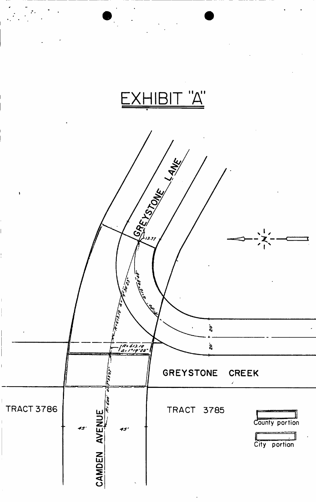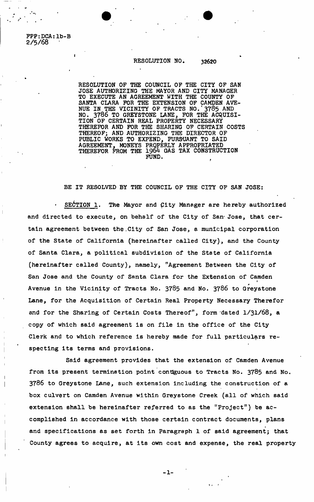FPP:DCA:lb-B **2/5/68** 

## RESOLUTION NO. 32620

RESOLUTION OP THE COUNCIL OF THE CITY OF SAN JOSE AUTHORIZING THE MAYOR AND CITY MANAGER TO EXECUTE AN AGREEMENT WITH THE COUNTY OF SANTA CLARA FOR THE EXTENSION OF CAMDEN AVE-NUE IN THE VICINITY OF TRACTS NO. 3785 AND NO. 3786 TO GREYSTONE LANE, FOR THE ACQUISI-TION OF CERTAIN REAL PROPERTY NECESSARY THEREFOR AND FOR THE SHARING OF CERTAIN COSTS THEREOF; AND AUTHORIZING THE DIRECTOR OF PUBLIC WORKS TO EXPEND, PURSUANT TO SAID AGREEMENT, MONEYS PROPERLY APPROPRIATED THEREFOR FROM THE 1964 GAS TAX CONSTRUCTION FUND.

BE IT RESOLVED BY THE COUNCIL OF THE CITY OF SAN JOSE:

SECTION 1. The Mayor and City Manager are hereby authorized and directed to execute, on behalf of the City of San Jose, that certain agreement between the.City of San Jose, a municipal corporation of the State of California (hereinafter called City), and the County of Santa Clara, a political subdivision of the State of California (hereinafter called County), namely, "Agreement Between the City of San Jose and the County of Santa Clara for the Extension of Camden » *s*  Avenue in the Vicinity of Tracts No. 3785 and No. 3786 to Greystone Lane, for the Acquisition of Certain Real Property Necessary Therefor and for the Sharing of Certain Costs Thereof", form 'dated 1**/31/68,** a copy of which said agreement is on file in the office of the City Clerk and to which reference is hereby made for full particulars respecting its terms and provisions.

Said agreement provides that the extension of Camden Avenue from its present termination point contiguous to Tracts No. 3785 and No. 3786 to Greystone Lane, such extension including the construction of a box culvert on Camden Avenue within Greystone Creek (all of which said extension shall be hereinafter referred to as the "Project") be accomplished in accordance with those certain contract documents, plans and specifications as set forth in Paragraph 1 of said agreement; that County agrees to acquire, at its own cost and expense, the real property

 $-1 -$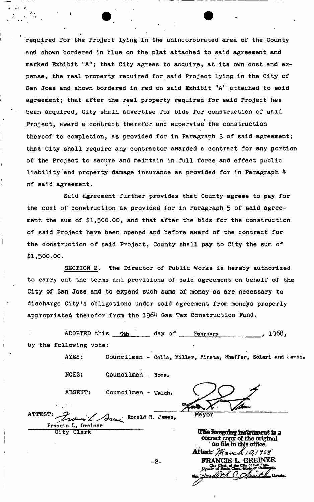required .for the Project lying in the unincorporated area of the County and shown bordered in blue on the plat attached to said agreement and marked Exhibit "A"; that City agrees to acquire, at its own cost and expense, the real property required for said Project lying in the City of San Jose and shown bordered in red on said Exhibit "A" attached to said agreement; that after the real property required for said Project has been acquired, City shall advertise for bids for construction of said Project, award a contract therefor and supervise the construction thereof to completion, as provided for in Paragraph 3 of said agreement; that City shall require any contractor awarded a contract for any portion of the Project to secure and maintain in full force and effect public liability and property damage insurance as provided for in Paragraph 4 of said agreement.

the cost of construction as provided for in Paragraph 5 of said agreement the sum of \$1,500.00, and that after the bids for the construction of said Project have been opened and before award of the contract for the construction of said Project, County shall pay to City the sum of \$1,500.00. Said agreement further provides that County agrees to pay for

to carry out the terms and provisions of said agreement on behalf of the City of San Jose and to expend such sums of money as are necessary to discharge City's obligations under said agreement from moneys properly appropriated therefor from the 1964 Gas Tax Construction Fund. SECTION 2. The Director of Public Works is hereby authorized

ADOPTED this 5th by the following vote: day of February **, 1968,** 

AYES: Councilmen - Colla, Miller, Mineta, Shaffer, Solari and James. NOES: Councilmen - None ABSENT: Councilmen - Welch. ATTEST: Mayor Assaul Ronald R. James, Francis L. Greiner<br>City Clerk The foregoing instrument is a **correct copy of the original the in this office. Attest:** March 121968 FRANCIS L. GREINER  $-2-$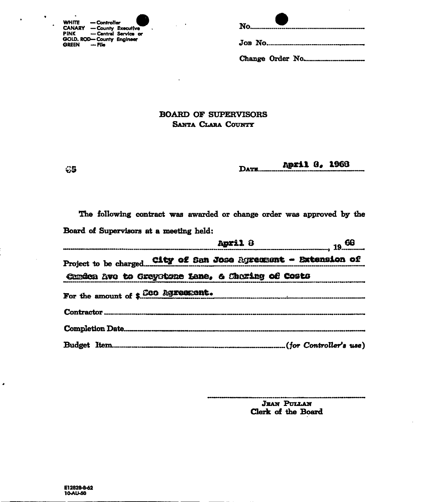| <b>WHITE</b>                              | — Controller       |                      |
|-------------------------------------------|--------------------|----------------------|
| <b>CANARY</b><br><b>PINK</b>              | - County Executive | - Central Service or |
| GOLD. ROD-County Engineer<br><b>GREEN</b> | — File             |                      |

|--|--|

# **BOARD OF SUPERVISORS** SANTA CLARA COUNTY

 $\mathcal{A}$ 

April 8, 1968 DATE...

The following contract was awarded or change order was approved by the Board of Supervisors at a meeting held:

|  | <b>April</b> 8                                                 |  |                                                                                                                     |
|--|----------------------------------------------------------------|--|---------------------------------------------------------------------------------------------------------------------|
|  | Project to be chargedCity of San Jose Agreement - Extension of |  |                                                                                                                     |
|  | Candon Avo to Greystone Lane, & Charing of Costs               |  | .<br>The month of the started and the started in the section of the start of the start of the start of the start of |
|  | For the amount of \$.000 Agreement.                            |  |                                                                                                                     |
|  |                                                                |  |                                                                                                                     |
|  |                                                                |  |                                                                                                                     |
|  |                                                                |  |                                                                                                                     |

**JEAN PULLAN** Clerk of the Board

 $C5$ 

i,

 $\bullet$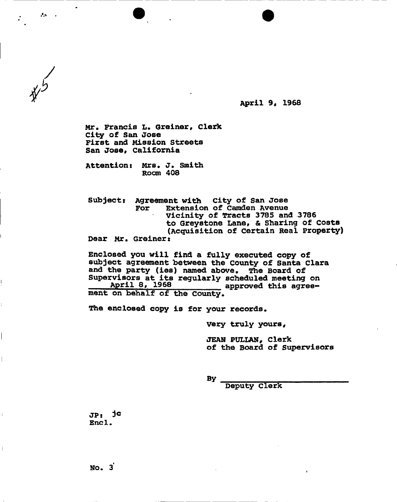**April 9, 1968** 

Mr. Francis L. Greiner, Clerk **City of San Jose First and Mission Streets**  San Jose. California

**Attentions Mrs. J. Smith Room 408** 

 $25 - 1$ 

**Subjects Agreement with City of San Jose For Extension of Camden Avenue Vicinity of Tracts 3785 and 3786 to Greystone Lane, & Sharing of costs (Acquisition of certain Real Property) Dear Mr. Greiners** 

**Enclosed you will find a fully executed copy of subject agreement between the county of Santa Clara and the party (ies) named above. The Board of Supervisors at its regularly scheduled meeting on**  April 8, 1968 approved this agree**ment on behalf of the County.** 

**The enclosed copy is for your records.** 

**Very truly yours,** 

**JEAN PULLAN, Clerk of the Board of Supervisors** 

**By** 

**Deputy Clerk** 

**JPs End .** 

 $\overline{1}$ 

 $\|$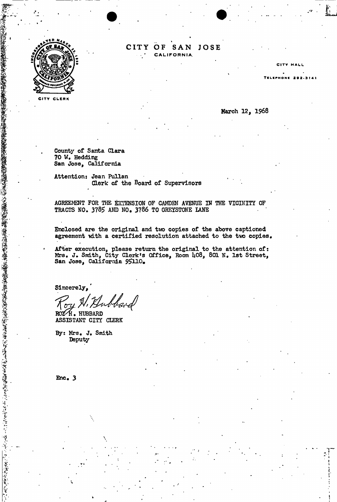

# **CIT Y OF SA N JOSE CALIFORNIA.**

TELIPHONE 292-3 141

CITY CLERK

Harch 12, 1968

**HALL** 

٠Ţ " *\* 

County of Santa Clara **70** W. Hedding San Jose, California

Attention: Jean Pullan Clerk of the Board of Supervisors

AGREEMENT FOR THE EXTENSION OF CAMDEM AVENUE IN THE VICINITY OF TRACTS NO. 3785 AND NO, 3786 TO GREYSTONE IANE

Enclosed are the original and two copies of the above captioned agreement with a certified resolution attached to the two copies,

After execution, please return the original to the attention of: Mrs. J. Smith, City Clerk's Office, Room U08, 801 N. 1st Street, San Jose, California 95110.

Sincerely,

wbbard

ROY H. HUBBARD ASSISTANT CITY CLERK

By: Mrs. J. Smith **Deputy** 

Enc. 3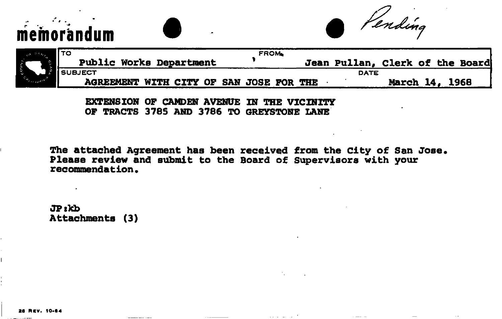memorandum **a** *Pending* 

|       | l TO                                    | <b>FROM.</b> |                                 |                       |  |  |
|-------|-----------------------------------------|--------------|---------------------------------|-----------------------|--|--|
|       | <b>Public Works Department</b>          |              | Jean Pullan, Clerk of the Board |                       |  |  |
| cour. | <b>i</b> SUBJECT                        |              | <b>DATE</b>                     |                       |  |  |
|       | AGREEMENT WITH CITY OF SAN JOSE FOR THE |              |                                 | <b>March 14, 1968</b> |  |  |

**EXTENSION OF CAMDEN AVENUE IN THE VICINITY OF TRACTS 3785 AND 3786 TO GREYSTONE LANE** 

The attached Agreement has been received from the City of San Jose. **Please review and submit to the Board of Supervisors with your**  recommendation.

**JPskb Attachments (3)** 

26 REV. 10-64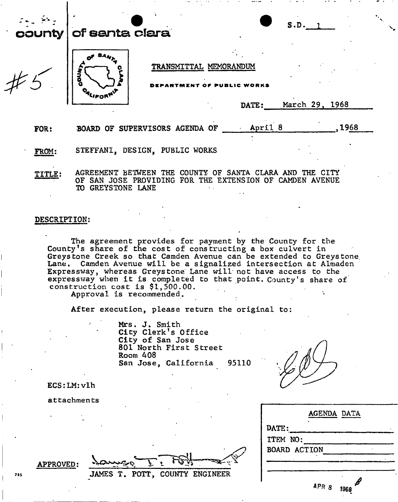| county | S.D.<br>of santa clara                                                                                                                            |
|--------|---------------------------------------------------------------------------------------------------------------------------------------------------|
|        | TRANSMITTAL MEMORANDUM<br>공<br>궁<br>March 29, 1968<br>DATE:                                                                                       |
| FOR:   | April 8<br>1968<br>BOARD OF SUPERVISORS AGENDA OF                                                                                                 |
| FROM:  | STEFFANI, DESIGN, PUBLIC WORKS                                                                                                                    |
|        | AGREEMENT BETWEEN THE COUNTY OF SANTA CLARA AND THE CITY<br>SAN JOSE PROVIDING FOR THE EXTENSION OF CAMDEN AVENUE<br>OF.<br>GREYSTONE LANE<br>TO. |

## DESCRIPTION:

The agreement provides for payment by the County for the County\*s share of the cost of constructing a box culvert in Greys tone Creek so that Camden Avenue can be extended to Greys tone. Lane. Camden Avenue will be a signalized intersection at Almaden Expressway, whereas Greystone Lane will not have access to the expressway when it is completed to that point. County's share of construction cost is \$1,500.00.

Approval is recommended.

After execution, please return the original to:

Mrs. J. Smith City Clerk's Office City of San Jose 801 North First Street Room 408 San Jose, California 95110

|               | <b>AGENDA DATA</b>  |                                    |  |
|---------------|---------------------|------------------------------------|--|
| <b>DATE :</b> |                     |                                    |  |
| ITEM NO:      |                     |                                    |  |
|               | <b>BOARD ACTION</b> |                                    |  |
|               | APR 8               | $\boldsymbol{\mathscr{S}}$<br>1968 |  |

ECS:LM:vlh

attachments

|     | <b>APPROVED:</b> | $\lambda$ aura                 |
|-----|------------------|--------------------------------|
| ,,, |                  | JAMES T. POTT, COUNTY ENGINEER |